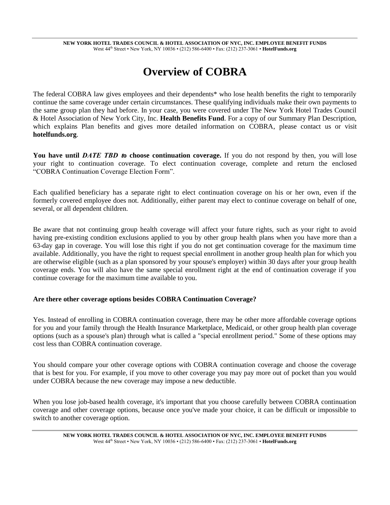# **Overview of COBRA**

The federal COBRA law gives employees and their dependents\* who lose health benefits the right to temporarily continue the same coverage under certain circumstances. These qualifying individuals make their own payments to the same group plan they had before. In your case, you were covered under The New York Hotel Trades Council & Hotel Association of New York City, Inc. **Health Benefits Fund**. For a copy of our Summary Plan Description, which explains Plan benefits and gives more detailed information on COBRA, please contact us or visit **hotelfunds.org**.

**You have until** *DATE TBD* **<sup>t</sup>o choose continuation coverage.** If you do not respond by then, you will lose your right to continuation coverage. To elect continuation coverage, complete and return the enclosed "COBRA Continuation Coverage Election Form".

Each qualified beneficiary has a separate right to elect continuation coverage on his or her own, even if the formerly covered employee does not. Additionally, either parent may elect to continue coverage on behalf of one, several, or all dependent children.

Be aware that not continuing group health coverage will affect your future rights, such as your right to avoid having pre-existing condition exclusions applied to you by other group health plans when you have more than a 63-day gap in coverage. You will lose this right if you do not get continuation coverage for the maximum time available. Additionally, you have the right to request special enrollment in another group health plan for which you are otherwise eligible (such as a plan sponsored by your spouse's employer) within 30 days after your group health coverage ends. You will also have the same special enrollment right at the end of continuation coverage if you continue coverage for the maximum time available to you.

### **Are there other coverage options besides COBRA Continuation Coverage?**

Yes. Instead of enrolling in COBRA continuation coverage, there may be other more affordable coverage options for you and your family through the Health Insurance Marketplace, Medicaid, or other group health plan coverage options (such as a spouse's plan) through what is called a "special enrollment period." Some of these options may cost less than COBRA continuation coverage.

You should compare your other coverage options with COBRA continuation coverage and choose the coverage that is best for you. For example, if you move to other coverage you may pay more out of pocket than you would under COBRA because the new coverage may impose a new deductible.

When you lose job-based health coverage, it's important that you choose carefully between COBRA continuation coverage and other coverage options, because once you've made your choice, it can be difficult or impossible to switch to another coverage option.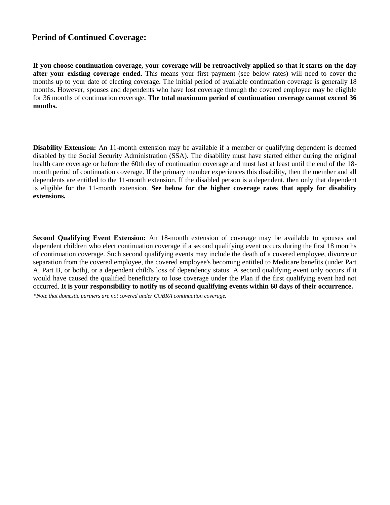## **Period of Continued Coverage:**

**If you choose continuation coverage, your coverage will be retroactively applied so that it starts on the day after your existing coverage ended.** This means your first payment (see below rates) will need to cover the months up to your date of electing coverage. The initial period of available continuation coverage is generally 18 months. However, spouses and dependents who have lost coverage through the covered employee may be eligible for 36 months of continuation coverage. **The total maximum period of continuation coverage cannot exceed 36 months.** 

**Disability Extension:** An 11-month extension may be available if a member or qualifying dependent is deemed disabled by the Social Security Administration (SSA). The disability must have started either during the original health care coverage or before the 60th day of continuation coverage and must last at least until the end of the 18 month period of continuation coverage. If the primary member experiences this disability, then the member and all dependents are entitled to the 11-month extension. If the disabled person is a dependent, then only that dependent is eligible for the 11-month extension. **See below for the higher coverage rates that apply for disability extensions.** 

**Second Qualifying Event Extension:** An 18-month extension of coverage may be available to spouses and dependent children who elect continuation coverage if a second qualifying event occurs during the first 18 months of continuation coverage. Such second qualifying events may include the death of a covered employee, divorce or separation from the covered employee, the covered employee's becoming entitled to Medicare benefits (under Part A, Part B, or both), or a dependent child's loss of dependency status. A second qualifying event only occurs if it would have caused the qualified beneficiary to lose coverage under the Plan if the first qualifying event had not occurred. **It is your responsibility to notify us of second qualifying events within 60 days of their occurrence.** 

*\*Note that domestic partners are not covered under COBRA continuation coverage.*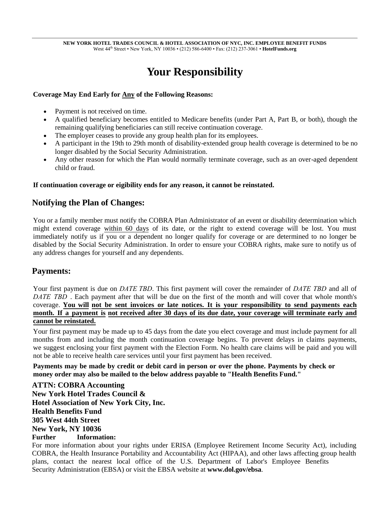# **Your Responsibility**

### **Coverage May End Early for Any of the Following Reasons:**

- Payment is not received on time.
- A qualified beneficiary becomes entitled to Medicare benefits (under Part A, Part B, or both), though the remaining qualifying beneficiaries can still receive continuation coverage.
- The employer ceases to provide any group health plan for its employees.
- A participant in the 19th to 29th month of disability-extended group health coverage is determined to be no longer disabled by the Social Security Administration.
- Any other reason for which the Plan would normally terminate coverage, such as an over-aged dependent child or fraud.

### **If continuation coverage or eigibility ends for any reason, it cannot be reinstated.**

# **Notifying the Plan of Changes:**

You or a family member must notify the COBRA Plan Administrator of an event or disability determination which might extend coverage within 60 days of its date, or the right to extend coverage will be lost. You must immediately notify us if you or a dependent no longer qualify for coverage or are determined to no longer be disabled by the Social Security Administration. In order to ensure your COBRA rights, make sure to notify us of any address changes for yourself and any dependents.

# **Payments:**

Your first payment is due on *DATE TBD*. This first payment will cover the remainder of *DATE TBD* and all of *DATE TBD*. Each payment after that will be due on the first of the month and will cover that whole month's coverage. **You will not be sent invoices or late notices. It is your responsibility to send payments each month. If a payment is not received after 30 days of its due date, your coverage will terminate early and cannot be reinstated.**

Your first payment may be made up to 45 days from the date you elect coverage and must include payment for all months from and including the month continuation coverage begins. To prevent delays in claims payments, we suggest enclosing your first payment with the Election Form. No health care claims will be paid and you will not be able to receive health care services until your first payment has been received.

**Payments may be made by credit or debit card in person or over the phone. Payments by check or money order may also be mailed to the below address payable to "Health Benefits Fund."** 

**ATTN: COBRA Accounting New York Hotel Trades Council & Hotel Association of New York City, Inc. Health Benefits Fund 305 West 44th Street New York, NY 10036 Further Information:**

For more information about your rights under ERISA (Employee Retirement Income Security Act), including COBRA, the Health Insurance Portability and Accountability Act (HIPAA), and other laws affecting group health plans, contact the nearest local office of the U.S. Department of Labor's Employee Benefits Security Administration (EBSA) or visit the EBSA website at **www.dol.gov/ebsa**.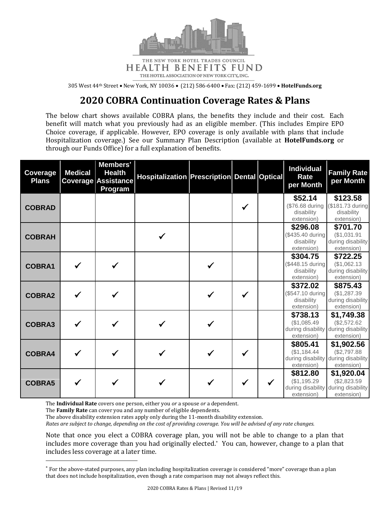

# **HEALTH BENEFITS FUND** THE HOTEL ASSOCIATION OF NEW YORK CITY, INC.

305 West 44th Street New York, NY 10036 (212) 586-6400 Fax: (212) 459-1699 **HotelFunds.org**

# **2020 COBRA Continuation Coverage Rates & Plans**

The below chart shows available COBRA plans, the benefits they include and their cost. Each benefit will match what you previously had as an eligible member. (This includes Empire EPO Choice coverage, if applicable. However, EPO coverage is only available with plans that include Hospitalization coverage.) See our Summary Plan Description (available at **HotelFunds.org** or through our Funds Office) for a full explanation of benefits.

| Coverage<br><b>Plans</b> | <b>Medical</b> | Members'<br><b>Health</b><br><b>Coverage Assistance</b><br>Program | Hospitalization Prescription Dental Optical |  | <b>Individual</b><br>Rate<br>per Month                      | <b>Family Rate</b><br>per Month                              |
|--------------------------|----------------|--------------------------------------------------------------------|---------------------------------------------|--|-------------------------------------------------------------|--------------------------------------------------------------|
| <b>COBRAD</b>            |                |                                                                    |                                             |  | \$52.14<br>(\$76.68 during<br>disability<br>extension)      | \$123.58<br>(\$181.73 during<br>disability<br>extension)     |
| <b>COBRAH</b>            |                |                                                                    |                                             |  | \$296.08<br>(\$435.40 during<br>disability<br>extension)    | \$701.70<br>(\$1,031.91<br>during disability<br>extension)   |
| <b>COBRA1</b>            |                |                                                                    |                                             |  | \$304.75<br>(\$448.15 during<br>disability<br>extension)    | \$722.25<br>(\$1,062.13<br>during disability<br>extension)   |
| <b>COBRA2</b>            |                |                                                                    |                                             |  | \$372.02<br>(\$547.10 during<br>disability<br>extension)    | \$875.43<br>\$1,287.39<br>during disability<br>extension)    |
| <b>COBRA3</b>            |                |                                                                    |                                             |  | \$738.13<br>(\$1,085.49)<br>during disability<br>extension) | \$1,749.38<br>\$2,572.62<br>during disability<br>extension)  |
| <b>COBRA4</b>            |                |                                                                    |                                             |  | \$805.41<br>(\$1,184.44<br>during disability<br>extension)  | \$1,902.56<br>\$2,797.88<br>during disability<br>extension)  |
| <b>COBRA5</b>            |                |                                                                    |                                             |  | \$812.80<br>(\$1,195.29<br>during disability<br>extension)  | \$1,920.04<br>(\$2,823.59<br>during disability<br>extension) |

The **Individual Rate** covers one person, either you *or* a spouse *or* a dependent.

The **Family Rate** can cover you and any number of eligible dependents.

 $\overline{a}$ 

The above disability extension rates apply only during the 11-month disability extension.

*Rates are subject to change, depending on the cost of providing coverage. You will be advised of any rate changes.*

Note that once you elect a COBRA coverage plan, you will not be able to change to a plan that includes more coverage than you had originally elected. \* You can, however, change to a plan that includes less coverage at a later time.

<sup>\*</sup> For the above-stated purposes, any plan including hospitalization coverage is considered "more" coverage than a plan that does not include hospitalization, even though a rate comparison may not always reflect this.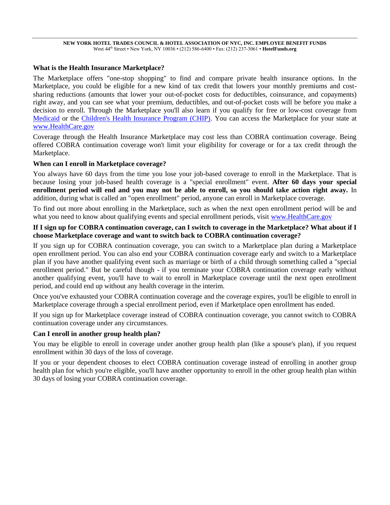### **What is the Health Insurance Marketplace?**

The Marketplace offers "one-stop shopping" to find and compare private health insurance options. In the Marketplace, you could be eligible for a new kind of tax credit that lowers your monthly premiums and costsharing reductions (amounts that lower your out-of-pocket costs for deductibles, coinsurance, and copayments) right away, and you can see what your premium, deductibles, and out-of-pocket costs will be before you make a decision to enroll. Through the Marketplace you'll also learn if you qualify for free or low-cost coverage from [Medicaid](https://www.healthcare.gov/do-i-qualify-for-medicaid) or the [Children's Health Insurance Program \(CHIP\).](https://www.healthcare.gov/are-my-children-eligible-for-chip) You can access the Marketplace for your state at [www.HealthCare.gov](http://www.healthcare.gov/)

Coverage through the Health Insurance Marketplace may cost less than COBRA continuation coverage. Being offered COBRA continuation coverage won't limit your eligibility for coverage or for a tax credit through the Marketplace.

### **When can I enroll in Marketplace coverage?**

You always have 60 days from the time you lose your job-based coverage to enroll in the Marketplace. That is because losing your job-based health coverage is a "special enrollment" event. **After 60 days your special enrollment period will end and you may not be able to enroll, so you should take action right away.** In addition, during what is called an "open enrollment" period, anyone can enroll in Marketplace coverage.

To find out more about enrolling in the Marketplace, such as when the next open enrollment period will be and what you need to know about qualifying events and special enrollment periods, visit [www.HealthCare.gov](http://www.healthcare.gov/)

### **If I sign up for COBRA continuation coverage, can I switch to coverage in the Marketplace? What about if I choose Marketplace coverage and want to switch back to COBRA continuation coverage?**

If you sign up for COBRA continuation coverage, you can switch to a Marketplace plan during a Marketplace open enrollment period. You can also end your COBRA continuation coverage early and switch to a Marketplace plan if you have another qualifying event such as marriage or birth of a child through something called a "special enrollment period." But be careful though - if you terminate your COBRA continuation coverage early without another qualifying event, you'll have to wait to enroll in Marketplace coverage until the next open enrollment period, and could end up without any health coverage in the interim.

Once you've exhausted your COBRA continuation coverage and the coverage expires, you'll be eligible to enroll in Marketplace coverage through a special enrollment period, even if Marketplace open enrollment has ended.

If you sign up for Marketplace coverage instead of COBRA continuation coverage, you cannot switch to COBRA continuation coverage under any circumstances.

### **Can I enroll in another group health plan?**

You may be eligible to enroll in coverage under another group health plan (like a spouse's plan), if you request enrollment within 30 days of the loss of coverage.

If you or your dependent chooses to elect COBRA continuation coverage instead of enrolling in another group health plan for which you're eligible, you'll have another opportunity to enroll in the other group health plan within 30 days of losing your COBRA continuation coverage.